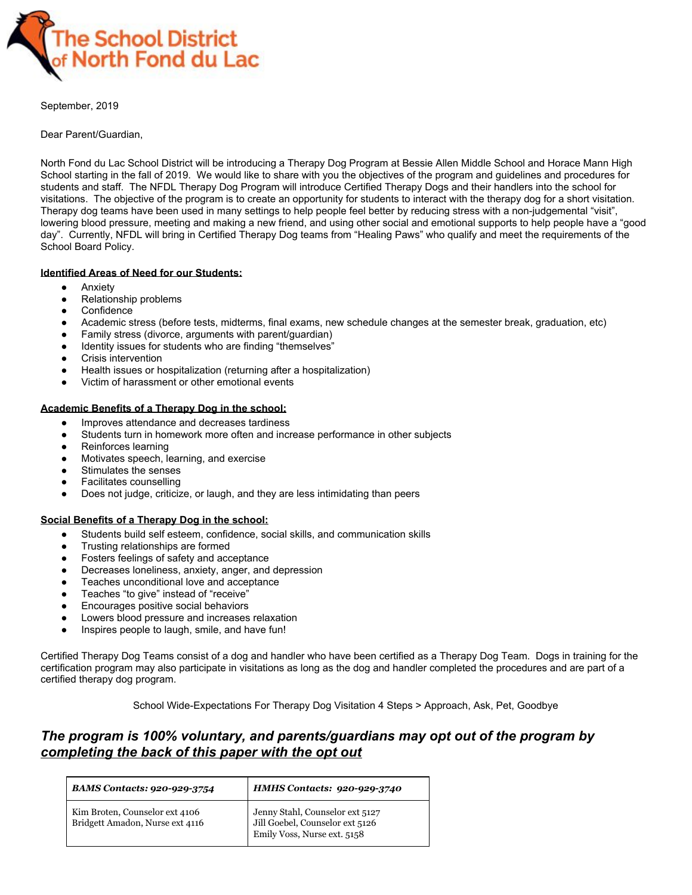

September, 2019

Dear Parent/Guardian,

North Fond du Lac School District will be introducing a Therapy Dog Program at Bessie Allen Middle School and Horace Mann High School starting in the fall of 2019. We would like to share with you the objectives of the program and guidelines and procedures for students and staff. The NFDL Therapy Dog Program will introduce Certified Therapy Dogs and their handlers into the school for visitations. The objective of the program is to create an opportunity for students to interact with the therapy dog for a short visitation. Therapy dog teams have been used in many settings to help people feel better by reducing stress with a non-judgemental "visit", lowering blood pressure, meeting and making a new friend, and using other social and emotional supports to help people have a "good day". Currently, NFDL will bring in Certified Therapy Dog teams from "Healing Paws" who qualify and meet the requirements of the School Board Policy.

## **Identified Areas of Need for our Students:**

- Anxiety
- Relationship problems
- Confidence
- Academic stress (before tests, midterms, final exams, new schedule changes at the semester break, graduation, etc)
- Family stress (divorce, arguments with parent/guardian)
- Identity issues for students who are finding "themselves"
- Crisis intervention
- Health issues or hospitalization (returning after a hospitalization)
- Victim of harassment or other emotional events

## **Academic Benefits of a Therapy Dog in the school:**

- Improves attendance and decreases tardiness
- Students turn in homework more often and increase performance in other subjects
- Reinforces learning
- Motivates speech, learning, and exercise
- Stimulates the senses
- **Facilitates counselling**
- Does not judge, criticize, or laugh, and they are less intimidating than peers

## **Social Benefits of a Therapy Dog in the school:**

- Students build self esteem, confidence, social skills, and communication skills
- Trusting relationships are formed
- Fosters feelings of safety and acceptance
- Decreases loneliness, anxiety, anger, and depression
- Teaches unconditional love and acceptance
- Teaches "to give" instead of "receive"
- Encourages positive social behaviors
- Lowers blood pressure and increases relaxation
- Inspires people to laugh, smile, and have fun!

Certified Therapy Dog Teams consist of a dog and handler who have been certified as a Therapy Dog Team. Dogs in training for the certification program may also participate in visitations as long as the dog and handler completed the procedures and are part of a certified therapy dog program.

School Wide-Expectations For Therapy Dog Visitation 4 Steps > Approach, Ask, Pet, Goodbye

## *The program is 100% voluntary, and parents/guardians may opt out of the program by completing the back of this paper with the opt out*

| <b>BAMS Contacts: 920-929-3754</b> | <b>HMHS Contacts: 920-929-3740</b>                                 |
|------------------------------------|--------------------------------------------------------------------|
| Kim Broten, Counselor ext 4106     | Jenny Stahl, Counselor ext 5127<br>Jill Goebel, Counselor ext 5126 |
| Bridgett Amadon, Nurse ext 4116    | Emily Voss, Nurse ext. 5158                                        |